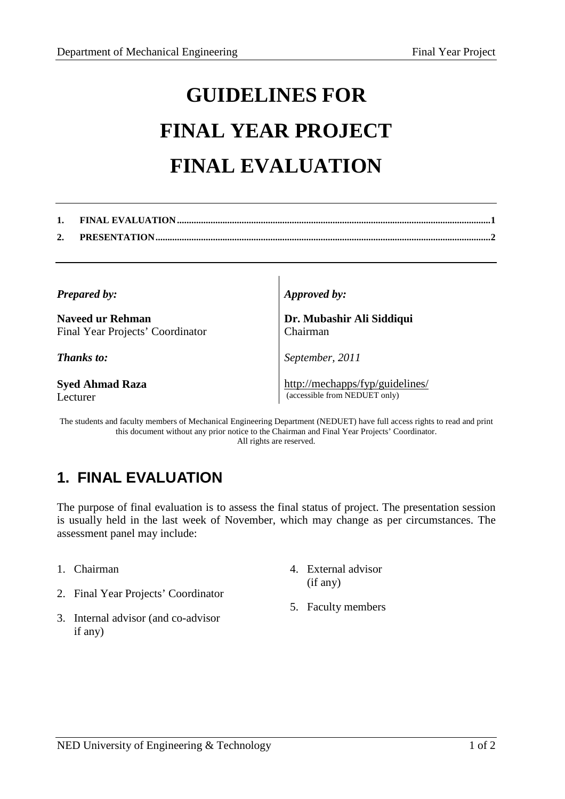## **GUIDELINES FOR FINAL YEAR PROJECT FINAL EVALUATION**

*Prepared by:* 

**Naveed ur Rehman**  Final Year Projects' Coordinator

*Thanks to:* 

**Syed Ahmad Raza**  Lecturer

*Approved by:* 

**Dr. Mubashir Ali Siddiqui**  Chairman

*September, 2011*

http://mechapps/fyp/guidelines/ (accessible from NEDUET only)

The students and faculty members of Mechanical Engineering Department (NEDUET) have full access rights to read and print this document without any prior notice to the Chairman and Final Year Projects' Coordinator. All rights are reserved.

## **1. FINAL EVALUATION**

The purpose of final evaluation is to assess the final status of project. The presentation session is usually held in the last week of November, which may change as per circumstances. The assessment panel may include:

- 1. Chairman
- 2. Final Year Projects' Coordinator
- 3. Internal advisor (and co-advisor if any)
- 4. External advisor (if any)
- 5. Faculty members